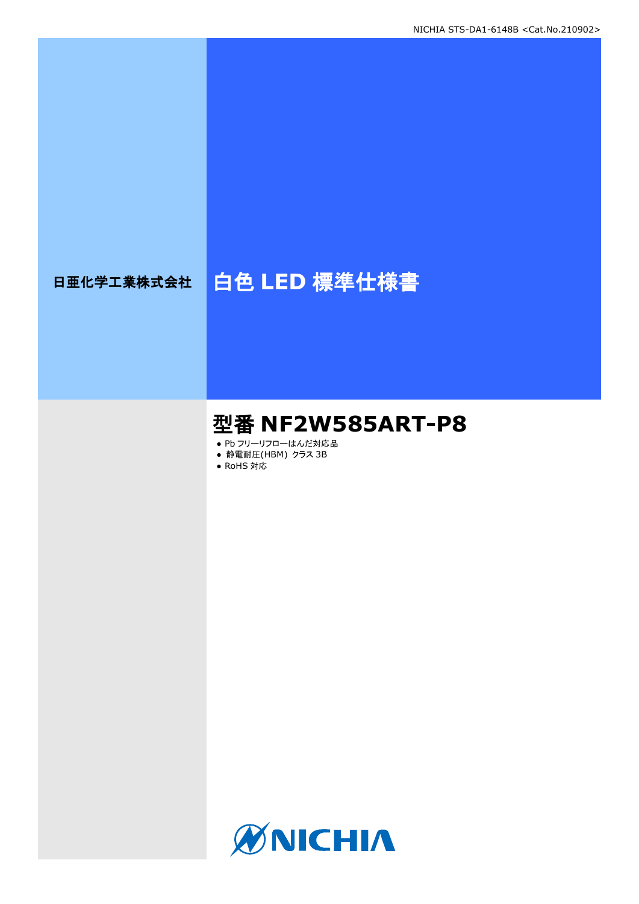# 日亜化学工業株式会社 | 白色 LED 標準仕様書

# 型番 **NF2W585ART-P8**

- Pb フリーリフローはんだ対応品
- **静電耐圧(HBM) クラス 3B**
- RoHS 対応

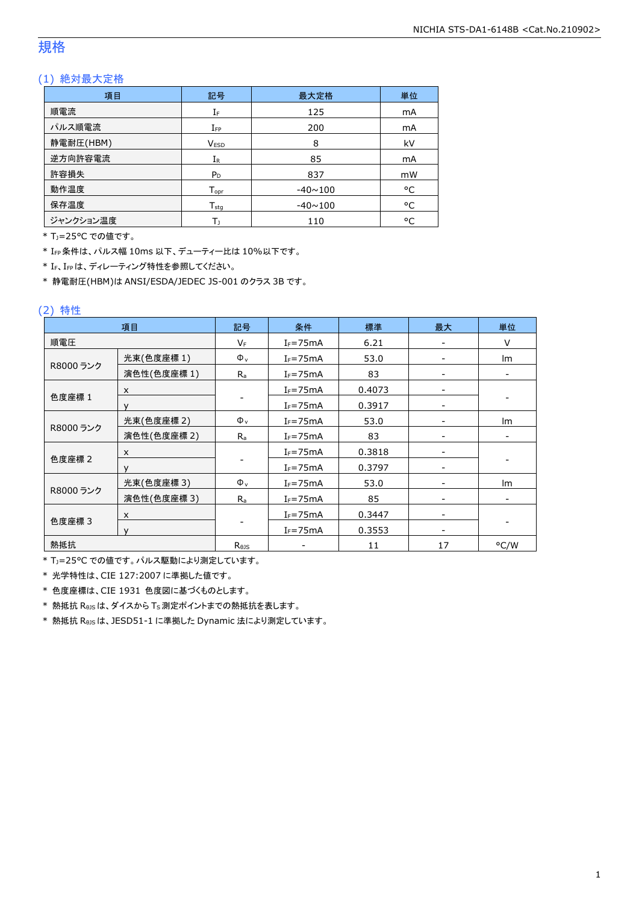# 規格

#### (1) 絶対最大定格

| 項目        | 記号               | 最大定格           | 単位 |
|-----------|------------------|----------------|----|
| 順電流       | IF               | 125            | mA |
| パルス順電流    | $I_{FP}$         | 200            | mA |
| 静電耐圧(HBM) | <b>VESD</b>      | 8              | kV |
| 逆方向許容電流   | $I_{R}$          | 85             | mA |
| 許容損失      | $P_D$            | 837            | mW |
| 動作温度      | $T_{\text{opt}}$ | $-40 \sim 100$ | °C |
| 保存温度      | $T_{sta}$        | $-40 \sim 100$ | °C |
| ジャンクション温度 | Tı               | 110            | °C |

\* TJ=25°C での値です。

\* IFP条件は、パルス幅 10ms 以下、デューティー比は 10%以下です。

\* IF、IFPは、ディレーティング特性を参照してください。

\* 静電耐圧(HBM)は ANSI/ESDA/JEDEC JS-001 のクラス 3B です。

#### (2) 特性

| 項目        |                           | 記号         | 条件           | 標準     | 最大 | 単位   |
|-----------|---------------------------|------------|--------------|--------|----|------|
| 順電圧       |                           | $V_F$      | $I_F = 75mA$ | 6.21   |    | V    |
|           | 光束(色度座標1)                 | $\Phi_{v}$ | $I_F = 75mA$ | 53.0   |    | Im   |
| R8000 ランク | 演色性(色度座標1)                | $R_{a}$    | $I_F = 75mA$ | 83     |    |      |
|           | $\times$                  |            | $I_F = 75mA$ | 0.4073 |    |      |
| 色度座標 1    | $\mathbf v$               |            | $I_F = 75mA$ | 0.3917 |    |      |
|           | 光束(色度座標 2)                | $\Phi_{v}$ | $I_F = 75mA$ | 53.0   |    | Im   |
| R8000 ランク | 演色性(色度座標 2)               | $R_{a}$    | $I_F = 75mA$ | 83     |    |      |
|           | X                         |            | $I_F = 75mA$ | 0.3818 |    |      |
| 色度座標 2    | $\checkmark$              |            | $I_F = 75mA$ | 0.3797 |    |      |
|           | 光束(色度座標 3)                | $\Phi_{v}$ | $I_F = 75mA$ | 53.0   |    | Im   |
| R8000 ランク | 演色性(色度座標 3)               | $R_{a}$    | $I_F = 75mA$ | 85     |    |      |
| 色度座標 3    | $\boldsymbol{\mathsf{x}}$ |            | $I_F = 75mA$ | 0.3447 |    |      |
|           | $\mathsf{v}$              |            | $I_F = 75mA$ | 0.3553 |    |      |
| 熱抵抗       |                           | Rejs       |              | 11     | 17 | °C/W |

\* TJ=25°C での値です。パルス駆動により測定しています。

\* 光学特性は、CIE 127:2007 に準拠した値です。

\* 色度座標は、CIE 1931 色度図に基づくものとします。

\* 熱抵抗 RθJSは、ダイスから TS測定ポイントまでの熱抵抗を表します。

\* 熱抵抗 RθJSは、JESD51-1 に準拠した Dynamic 法により測定しています。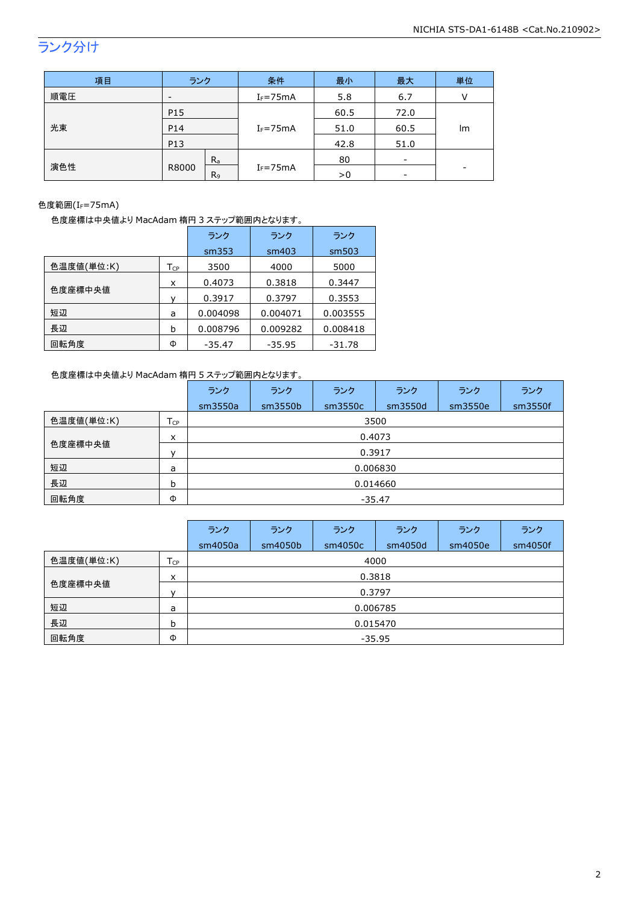# ランク分け

| 項目  | ランク                     | 条件           | 最小   | 最大   | 単位 |
|-----|-------------------------|--------------|------|------|----|
| 順電圧 | -                       | $I_F = 75mA$ | 5.8  | 6.7  |    |
| P15 |                         |              | 60.5 | 72.0 |    |
| 光束  | P <sub>14</sub>         | $I_F = 75mA$ | 51.0 | 60.5 | lm |
|     | P13                     |              | 42.8 | 51.0 |    |
|     | $R_{a}$                 | $I_F = 75mA$ | 80   |      |    |
| 演色性 | R8000<br>R <sub>9</sub> |              | >0   | -    |    |

#### 色度範囲(IF=75mA)

色度座標は中央値より MacAdam 楕円 3 ステップ範囲内となります。

|            |                            | ランク      | ランク      | ランク      |
|------------|----------------------------|----------|----------|----------|
|            |                            | sm353    | sm403    | sm503    |
| 色温度値(単位:K) | $\mathsf{T}_{\mathsf{CP}}$ | 3500     | 4000     | 5000     |
|            | x                          | 0.4073   | 0.3818   | 0.3447   |
| 色度座標中央値    |                            | 0.3917   | 0.3797   | 0.3553   |
| 短辺         | a                          | 0.004098 | 0.004071 | 0.003555 |
| 長辺         | b                          | 0.008796 | 0.009282 | 0.008418 |
| 回転角度       | Φ                          | $-35.47$ | $-35.95$ | $-31.78$ |

### 色度座標は中央値より MacAdam 楕円 5 ステップ範囲内となります。

|            |                 | ランク      | ランク     | ランク     | ランク     | ランク     | ランク     |  |  |
|------------|-----------------|----------|---------|---------|---------|---------|---------|--|--|
|            |                 | sm3550a  | sm3550b | sm3550c | sm3550d | sm3550e | sm3550f |  |  |
| 色温度値(単位:K) | $T_{\text{CP}}$ |          | 3500    |         |         |         |         |  |  |
| 色度座標中央値    | x               |          | 0.4073  |         |         |         |         |  |  |
|            | $\mathbf{v}$    | 0.3917   |         |         |         |         |         |  |  |
| 短辺         | a               | 0.006830 |         |         |         |         |         |  |  |
| 長辺         | b               | 0.014660 |         |         |         |         |         |  |  |
| 回転角度       | Φ               | $-35.47$ |         |         |         |         |         |  |  |

|            |                   | ランク      | ランク     | ランク     | ランク     | ランク     | ランク     |  |  |
|------------|-------------------|----------|---------|---------|---------|---------|---------|--|--|
|            |                   | sm4050a  | sm4050b | sm4050c | sm4050d | sm4050e | sm4050f |  |  |
| 色温度値(単位:K) | $T_{\mathsf{CP}}$ |          | 4000    |         |         |         |         |  |  |
|            | x                 |          | 0.3818  |         |         |         |         |  |  |
| 色度座標中央値    | $\mathbf{v}$      | 0.3797   |         |         |         |         |         |  |  |
| 短辺         | a                 | 0.006785 |         |         |         |         |         |  |  |
| 長辺         | b                 | 0.015470 |         |         |         |         |         |  |  |
| 回転角度       | Φ                 | $-35.95$ |         |         |         |         |         |  |  |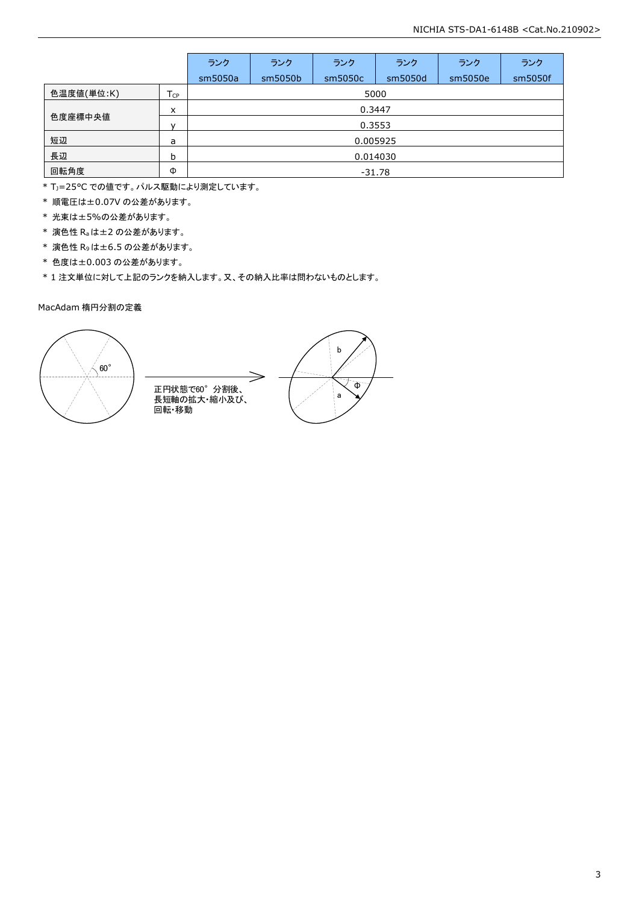|            |                 | ランク      | ランク     | ランク     | ランク     | ランク     | ランク     |  |
|------------|-----------------|----------|---------|---------|---------|---------|---------|--|
|            |                 | sm5050a  | sm5050b | sm5050c | sm5050d | sm5050e | sm5050f |  |
| 色温度値(単位:K) | T <sub>CP</sub> |          | 5000    |         |         |         |         |  |
|            | X               |          | 0.3447  |         |         |         |         |  |
| 色度座標中央値    | $\mathsf{v}$    | 0.3553   |         |         |         |         |         |  |
| 短辺         | a               | 0.005925 |         |         |         |         |         |  |
| 長辺         | b               | 0.014030 |         |         |         |         |         |  |
| 回転角度       | Φ               | $-31.78$ |         |         |         |         |         |  |

\* TJ=25°C での値です。パルス駆動により測定しています。

\* 順電圧は±0.07V の公差があります。

\* 光束は±5%の公差があります。

\* 演色性 Raは±2 の公差があります。

\* 演色性 R9は±6.5 の公差があります。

\* 色度は±0.003 の公差があります。

\* 1 注文単位に対して上記のランクを納入します。又、その納入比率は問わないものとします。

#### MacAdam 楕円分割の定義

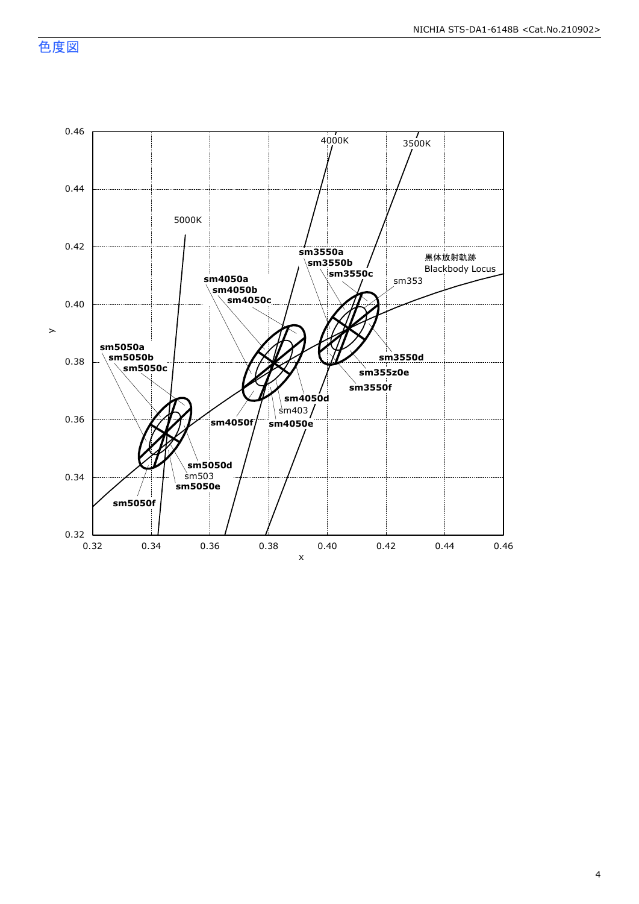色度図

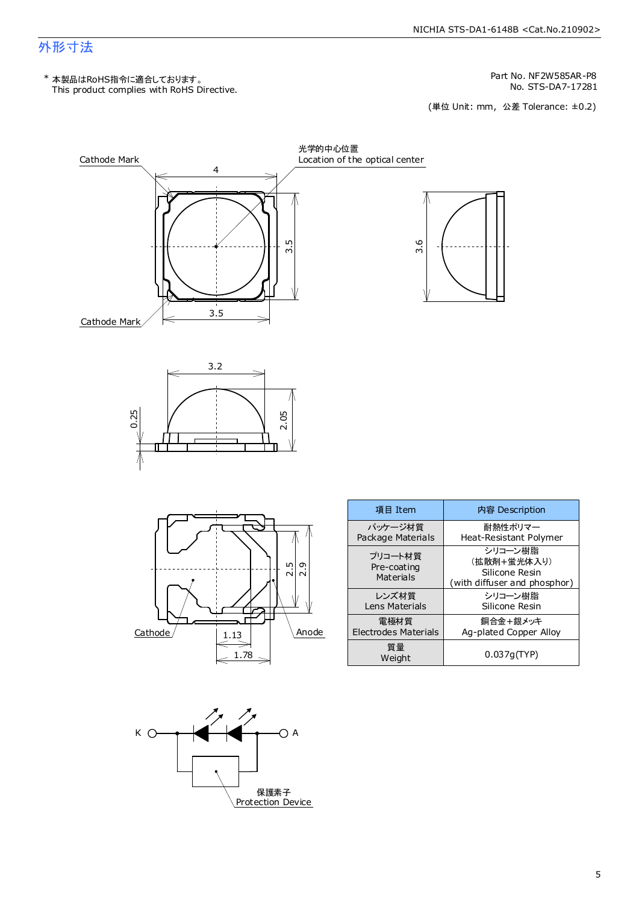# 外形寸法

This product complies with RoHS Directive. \* 本製品はRoHS指令に適合しております。

Part No. NF2W585AR-P8

No. STS-DA7-17281<br>(単位 Unit: mm,公差 Tolerance: ±0.2)







| 項目 Item                             | 内容 Description                                                           |
|-------------------------------------|--------------------------------------------------------------------------|
| パッケージ材質                             | 耐熱性ポリマー                                                                  |
| Package Materials                   | Heat-Resistant Polymer                                                   |
| プリコート材質<br>Pre-coating<br>Materials | シリコーン樹脂<br>(拡散剤+蛍光体入り)<br>Silicone Resin<br>(with diffuser and phosphor) |
| レンズ材質                               | シリコーン樹脂                                                                  |
| Lens Materials                      | Silicone Resin                                                           |
| 雷極材質                                | 銅合金+銀メッキ                                                                 |
| Electrodes Materials                | Ag-plated Copper Alloy                                                   |
| 質量<br>Weight                        | 0.037q(TYP)                                                              |

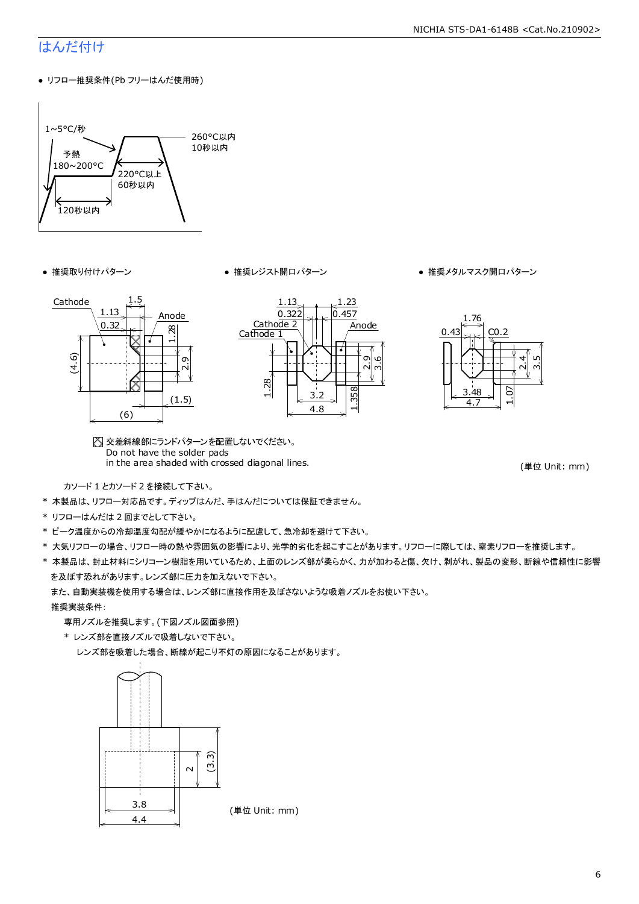# はんだ付け

● リフロー推奨条件(Pb フリーはんだ使用時)



- 
- 推奨取り付けパターン 推奨レジスト開口パターン 推奨メタルマスク開口パターン







交差斜線部にランドパターンを配置しないでください。 Do not have the solder pads in the area shaded with crossed diagonal lines.

(単位 Unit: mm)

カソード 1 とカソード 2 を接続して下さい。

- \* 本製品は、リフロー対応品です。ディップはんだ、手はんだについては保証できません。
- \* リフローはんだは 2 回までとして下さい。
- \* ピーク温度からの冷却温度勾配が緩やかになるように配慮して、急冷却を避けて下さい。
- \* 大気リフローの場合、リフロー時の熱や雰囲気の影響により、光学的劣化を起こすことがあります。リフローに際しては、窒素リフローを推奨します。
- \* 本製品は、封止材料にシリコーン樹脂を用いているため、上面のレンズ部が柔らかく、力が加わると傷、欠け、剥がれ、製品の変形、断線や信頼性に影響 を及ぼす恐れがあります。レンズ部に圧力を加えないで下さい。

また、自動実装機を使用する場合は、レンズ部に直接作用を及ぼさないような吸着ノズルをお使い下さい。

#### 推奨実装条件:

専用ノズルを推奨します。(下図ノズル図面参照)

\* レンズ部を直接ノズルで吸着しないで下さい。

レンズ部を吸着した場合、断線が起こり不灯の原因になることがあります。

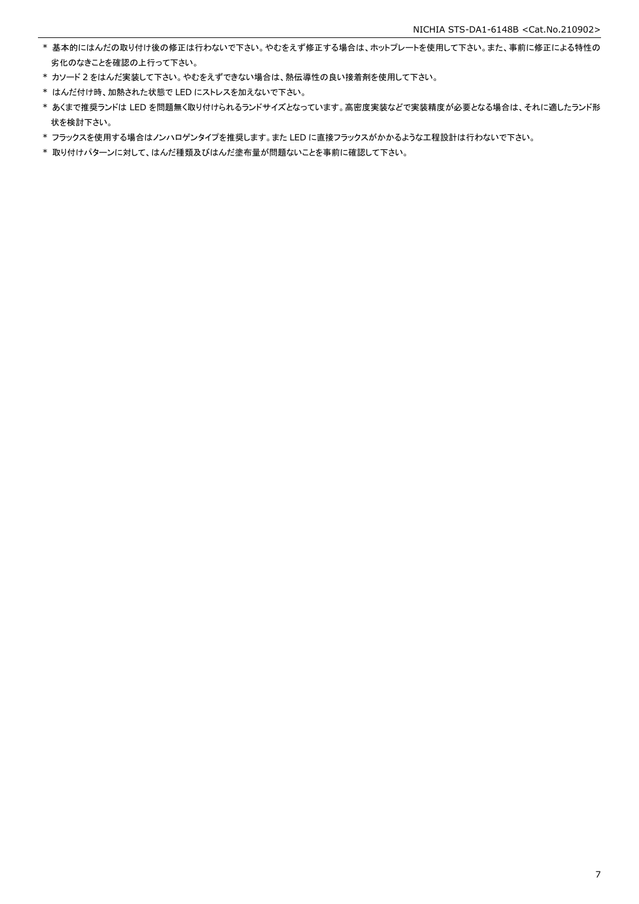- \* 基本的にはんだの取り付け後の修正は行わないで下さい。やむをえず修正する場合は、ホットプレートを使用して下さい。また、事前に修正による特性の 劣化のなきことを確認の上行って下さい。
- \* カソード 2 をはんだ実装して下さい。やむをえずできない場合は、熱伝導性の良い接着剤を使用して下さい。
- \* はんだ付け時、加熱された状態で LED にストレスを加えないで下さい。
- \* あくまで推奨ランドは LED を問題無く取り付けられるランドサイズとなっています。高密度実装などで実装精度が必要となる場合は、それに適したランド形 状を検討下さい。
- \* フラックスを使用する場合はノンハロゲンタイプを推奨します。また LED に直接フラックスがかかるような工程設計は行わないで下さい。
- \* 取り付けパターンに対して、はんだ種類及びはんだ塗布量が問題ないことを事前に確認して下さい。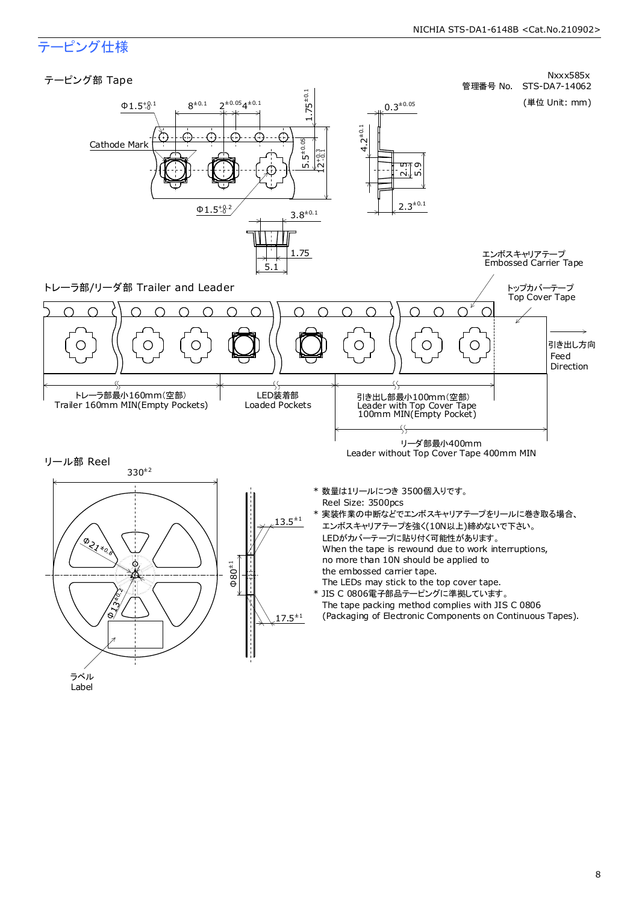# テーピング仕様



Label

8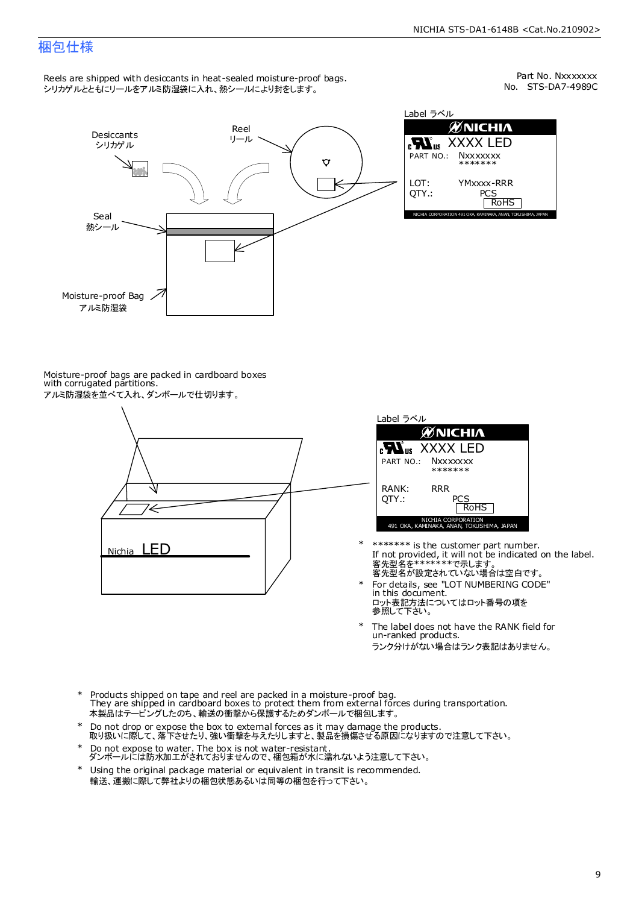# 梱包仕様

Reels are shipped with desiccants in heat-sealed moisture-proof bags. シリカゲルとともにリールをアルミ防湿袋に入れ、熱シールにより封をします。

No. STS-DA7-4989C Part No. Nxxxxxxx



Label ラベル **ØNICHIA EN**<sub>us</sub> XXXX LED **Nxxxxxxx** \*\*\*\*\*\*\* YMxxxx-RRR PCS<br>RoHS INAKA, ANAN, TOKUSHIMA, JA

Moisture-proof bags are packed in cardboard boxes with corrugated partitions. アルミ防湿袋を並べて入れ、ダンボールで仕切ります。



| Label ラベル                                                       |
|-----------------------------------------------------------------|
| <b>ØNICHIA</b>                                                  |
| <b>N</b> <sub>us</sub> XXXX LED                                 |
| PART NO.: NXXXXXXX<br>*******                                   |
| RANK:<br>RR R<br>OTY.:<br>PCS<br><b>RoHS</b>                    |
| NICHIA CORPORATION<br>491 OKA, KAMINAKA, ANAN, TOKUSHIMA, JAPAN |

- 客先型名が設定されていない場合は空白です。 客先型名を\*\*\*\*\*\*\*で示します。 If not provided, it will not be indicated on the label. \*\*\*\*\*\*\* is the customer part number.
- For details, see "LOT NUMBERING CODE" in this document. ロット表記方法についてはロット番号の項を<br>参照して下さい。 \*
- The label does not have the RANK field for un-ranked products. ランク分けがない場合はランク表記はありません。 \*
- Products shipped on tape and reel are packed in a moisture-proof bag. They are shipped in cardboard boxes to protect them from external forces during transportation. 本製品はテーピングしたのち、輸送の衝撃から保護するためダンボールで梱包します。 \*
- Do not drop or expose the box to external forces as it may damage the products. 取り扱いに際して、落下させたり、強い衝撃を与えたりしますと、製品を損傷させる原因になりますので注意して下さい。 \*
- Do not expose to water. The box is not water-resistant. ダンボールには防水加工がされておりませんので、梱包箱が水に濡れないよう注意して下さい。 \*
- \* Using the original package material or equivalent in transit is recommended. 輸送、運搬に際して弊社よりの梱包状態あるいは同等の梱包を行って下さい。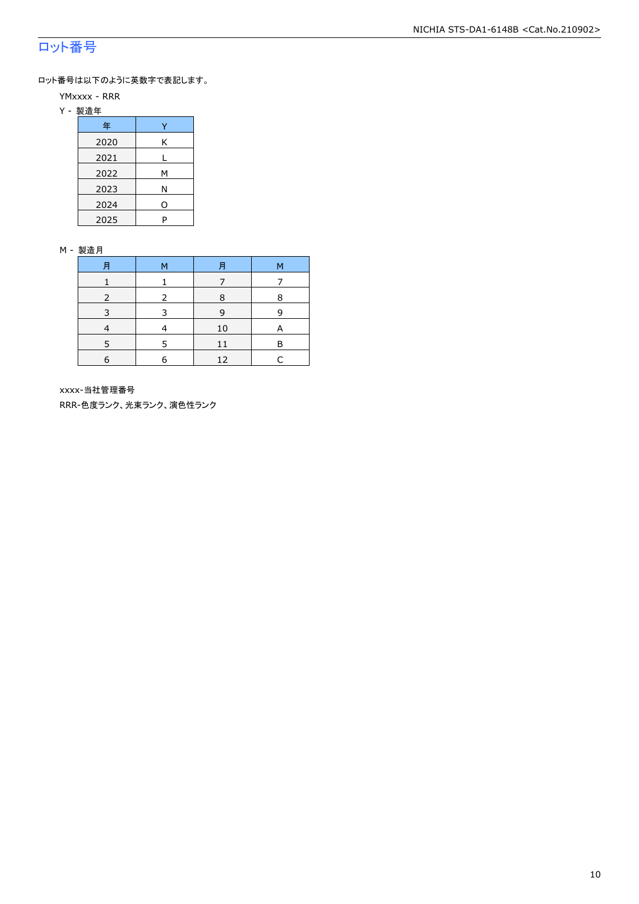# ロット番号

ロット番号は以下のように英数字で表記します。

- YMxxxx RRR
- Y 製造年

| 年    |   |
|------|---|
| 2020 | Κ |
| 2021 |   |
| 2022 | М |
| 2023 | Ν |
| 2024 | 0 |
| 2025 | P |

#### M - 製造月

| 月 | м | 月  | М |
|---|---|----|---|
|   |   |    |   |
|   |   | 8  | 8 |
| 3 | २ | 9  | q |
|   |   | 10 | A |
|   | ᄃ | 11 | в |
| 6 | 6 | 12 |   |

xxxx-当社管理番号

RRR-色度ランク、光束ランク、演色性ランク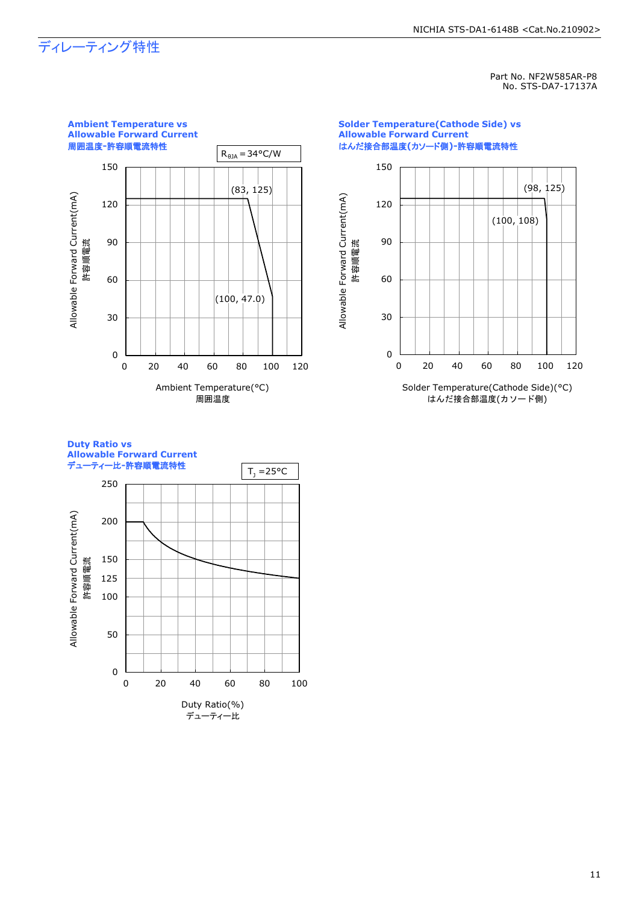# ディレーティング特性

Part No. NF2W585AR-P8 No. STS-DA7-17137A



**Solder Temperature(Cathode Side) vs Allowable Forward Current** はんだ接合部温度**(**カソード側**)-**許容順電流特性



**Duty Ratio vs Allowable Forward Current**

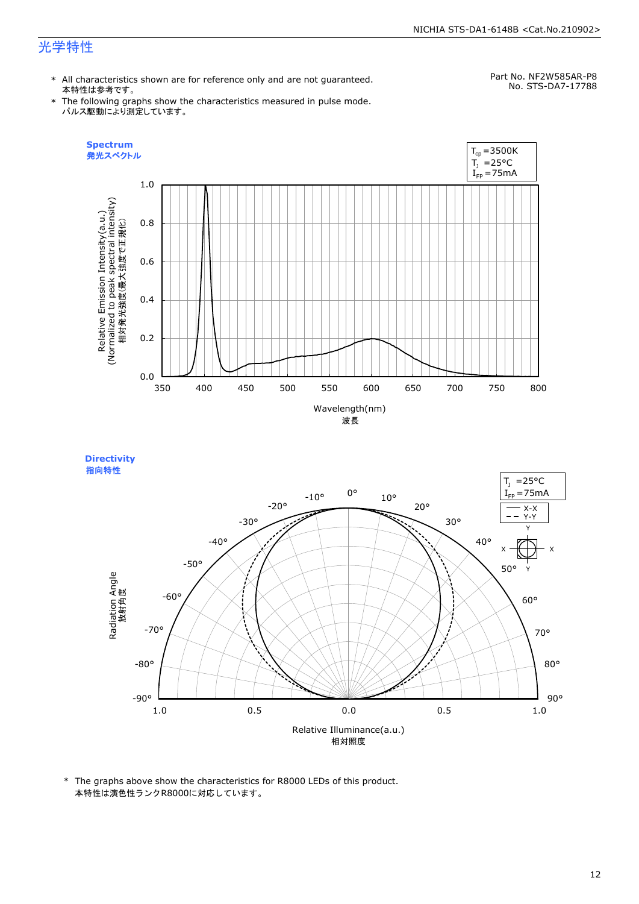# 光学特性

\* All characteristics shown are for reference only and are not guaranteed. 本特性は参考です。

Part No. NF2W585AR-P8 No. STS-DA7-17788

\* The following graphs show the characteristics measured in pulse mode. パルス駆動により測定しています。



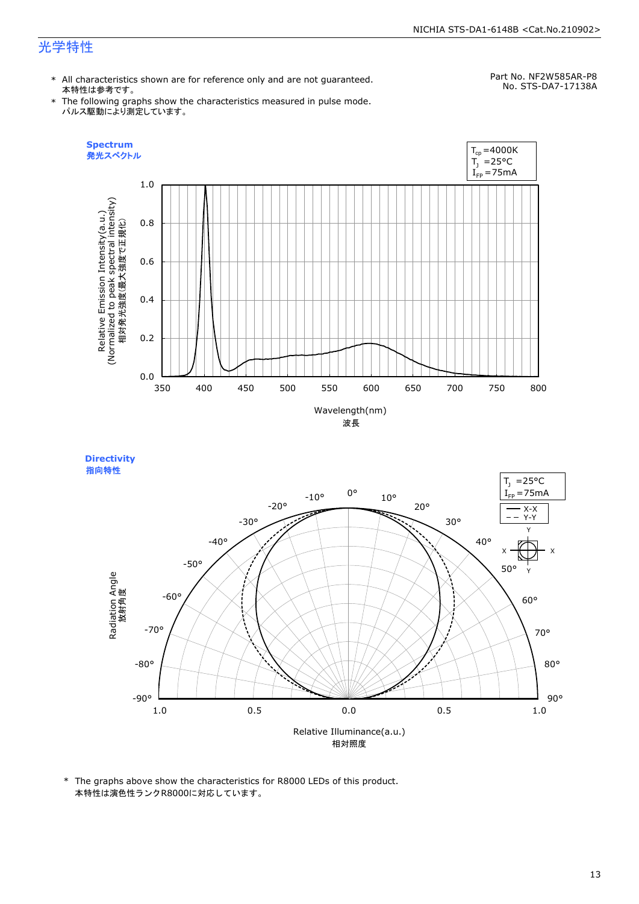# 光学特性

\* All characteristics shown are for reference only and are not guaranteed. 本特性は参考です。

Part No. NF2W585AR-P8 No. STS-DA7-17138A

\* The following graphs show the characteristics measured in pulse mode. パルス駆動により測定しています。



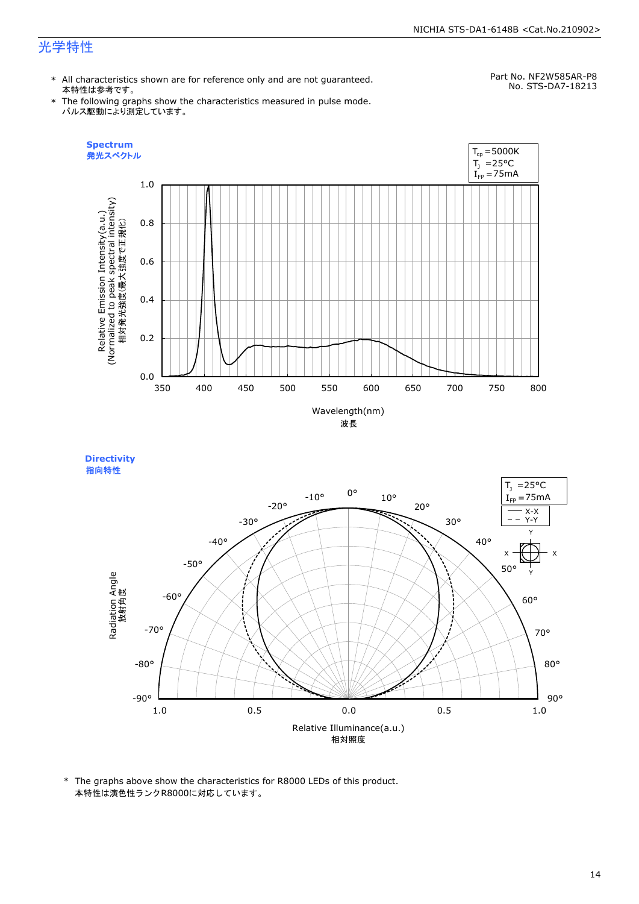# 光学特性

**Directivity** 

\* All characteristics shown are for reference only and are not guaranteed. 本特性は参考です。

Part No. NF2W585AR-P8 No. STS-DA7-18213

\* The following graphs show the characteristics measured in pulse mode. パルス駆動により測定しています。



指向特性 $T_1$  =25°C 0°  $I_{FP} = 75mA$ -10° 10° -20° 20° X-X -30° 30° Y-YY -40° 40°  $x + + + x$  $\hat{f}$ -50° 50° Radiation Angle<br>放射角度 Y -60° 60° -70° 70° -80° 80° -90° 90° 1.0 0.5 0.0 0.5 1.0 Relative Illuminance(a.u.) 相対照度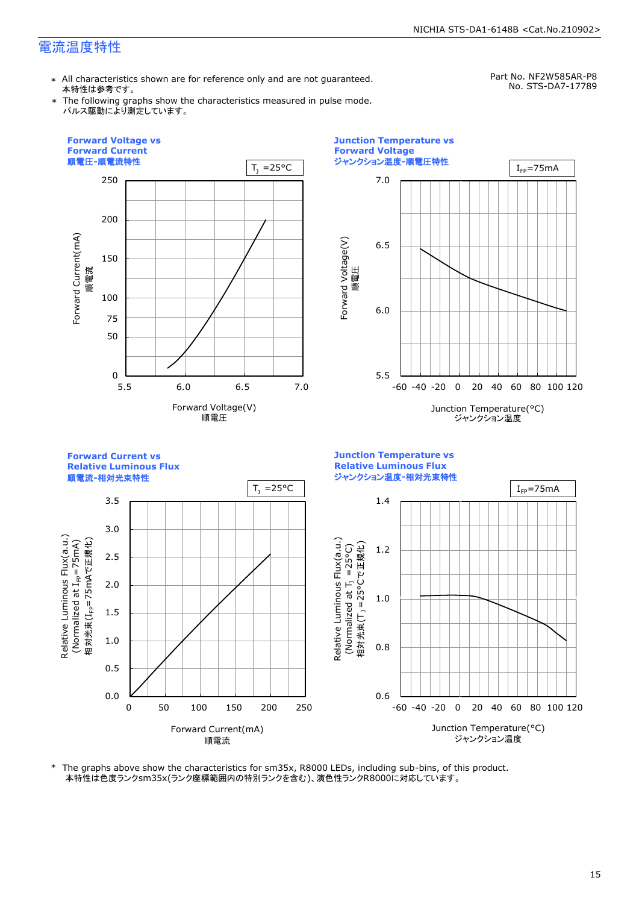\* All characteristics shown are for reference only and are not guaranteed. 本特性は参考です。

Part No. NF2W585AR-P8 No. STS-DA7-17789

\* The following graphs show the characteristics measured in pulse mode. パルス駆動により測定しています。



\* The graphs above show the characteristics for sm35x, R8000 LEDs, including sub-bins, of this product. 本特性は色度ランクsm35x(ランク座標範囲内の特別ランクを含む)、演色性ランクR8000に対応しています。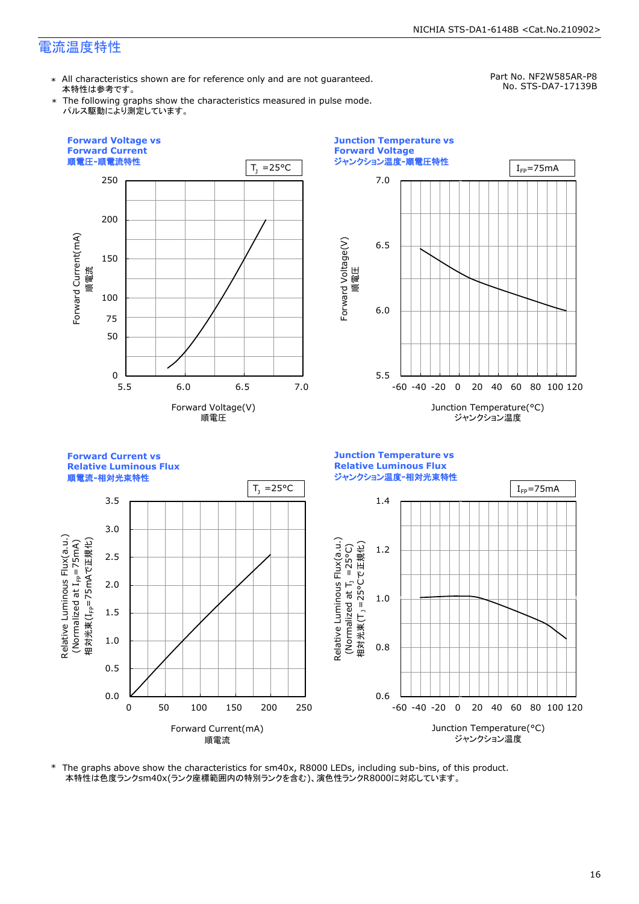\* All characteristics shown are for reference only and are not guaranteed. 本特性は参考です。

Part No. NF2W585AR-P8 No. STS-DA7-17139B

\* The following graphs show the characteristics measured in pulse mode. パルス駆動により測定しています。



\* The graphs above show the characteristics for sm40x, R8000 LEDs, including sub-bins, of this product. 本特性は色度ランクsm40x(ランク座標範囲内の特別ランクを含む)、演色性ランクR8000に対応しています。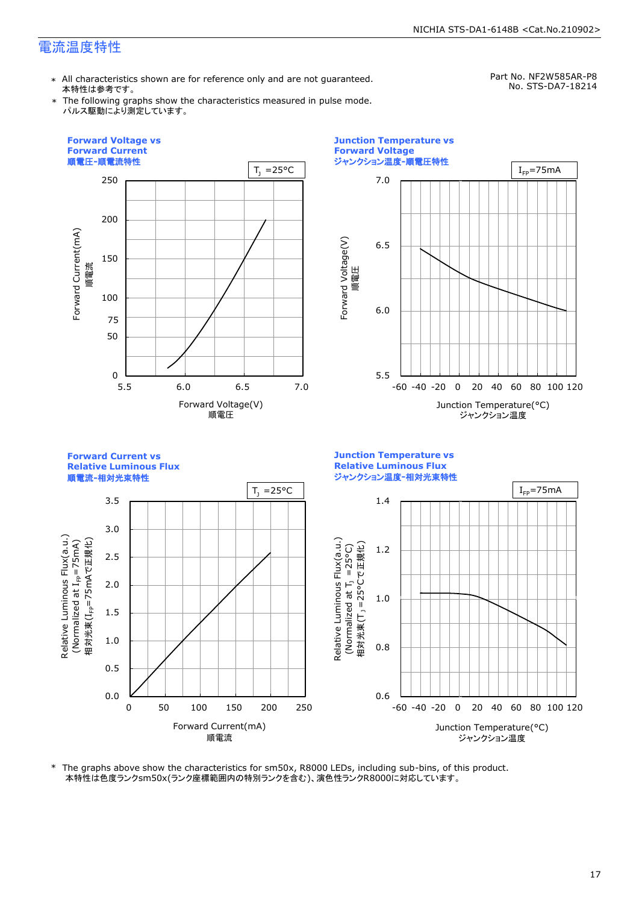\* All characteristics shown are for reference only and are not guaranteed. 本特性は参考です。

Part No. NF2W585AR-P8 No. STS-DA7-18214

\* The following graphs show the characteristics measured in pulse mode. パルス駆動により測定しています。





**Junction Temperature vs Relative Luminous Flux Relative Luminous Flux** ジャンクション温度**-**相対光束特性 順電流**-**相対光束特性  $T_1 = 25^{\circ}C$   $I_{\text{FP}} = 75 \text{mA}$ 3.5 1.4 3.0 Relative Luminous Flux(a.u.)<br>(Normalized at I<sub>FP</sub>=75mA)<br>相対光束(I<sub>FP</sub>=75mAで正規化) Relative Luminous Flux(a.u.) Relative Luminous Flux(a.u.) 相対光束(T」=25°Cで正規化) 1.2 (Normalized at  $T_1$  =25°C) 2.5 2.0 m i 1.0 1.5 1.0 0.8 0.5 0.0 0.6 0 50 100 150 200 250 -60 -40 -20 0 20 40 60 80 100 120 Forward Current(mA) Junction Temperature(°C) 順電流 ジャンクション温度

\* The graphs above show the characteristics for sm50x, R8000 LEDs, including sub-bins, of this product. 本特性は色度ランクsm50x(ランク座標範囲内の特別ランクを含む)、演色性ランクR8000に対応しています。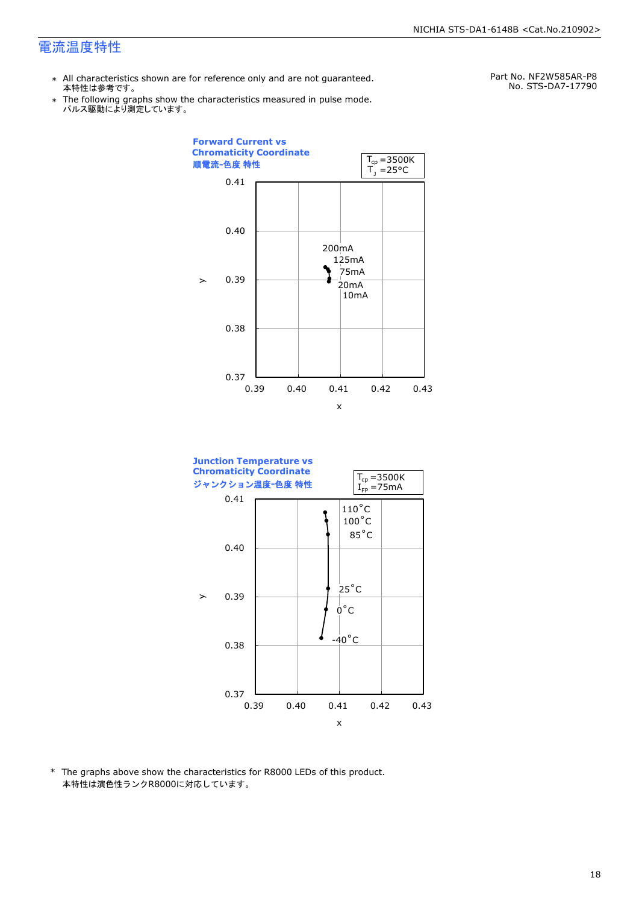- \* All characteristics shown are for reference only and are not guaranteed. 本特性は参考です。
- \* Ine following graphs show th<br>、パルス駆動により測定しています。 The following graphs show the characteristics measured in pulse mode.

Part No. NF2W585AR-P8 No. STS-DA7-17790



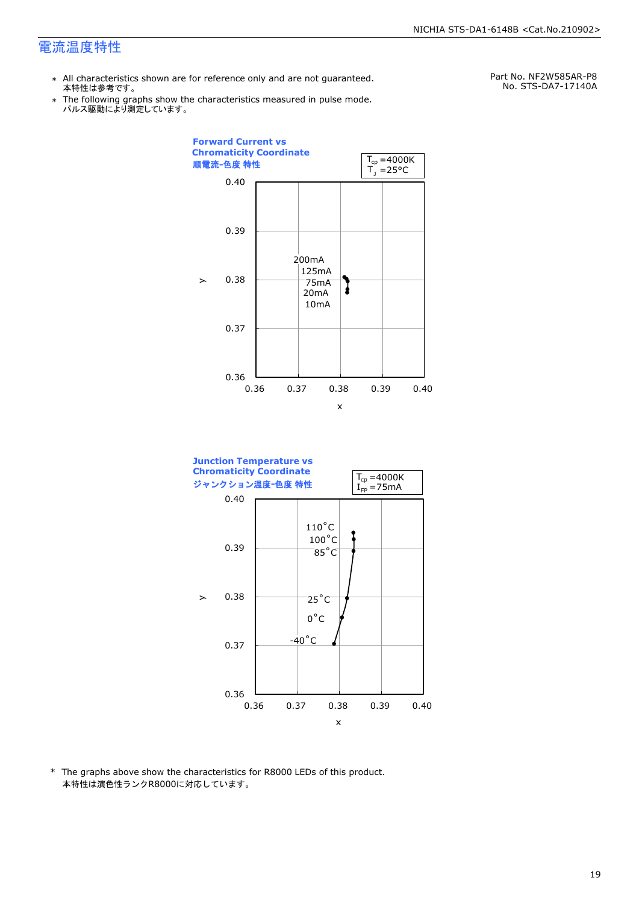- \* All characteristics shown are for reference only and are not guaranteed. 本特性は参考です。
- \* Ine following graphs show th<br>、パルス駆動により測定しています。 The following graphs show the characteristics measured in pulse mode.

Part No. NF2W585AR-P8 No. STS-DA7-17140A



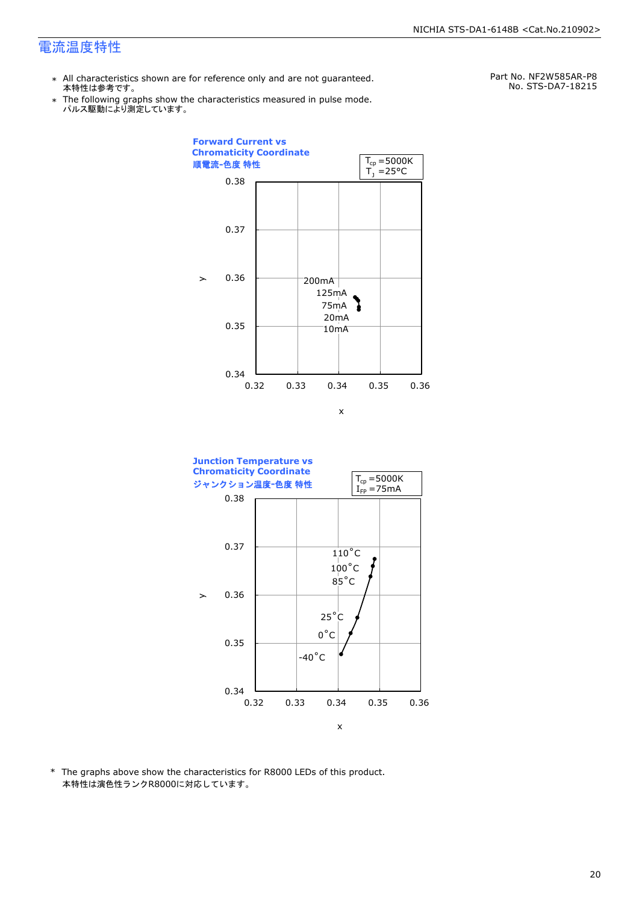- \* All characteristics shown are for reference only and are not guaranteed. 本特性は参考です。
- \* Ine following graphs show th<br>、パルス駆動により測定しています。 The following graphs show the characteristics measured in pulse mode.

Part No. NF2W585AR-P8 No. STS-DA7-18215



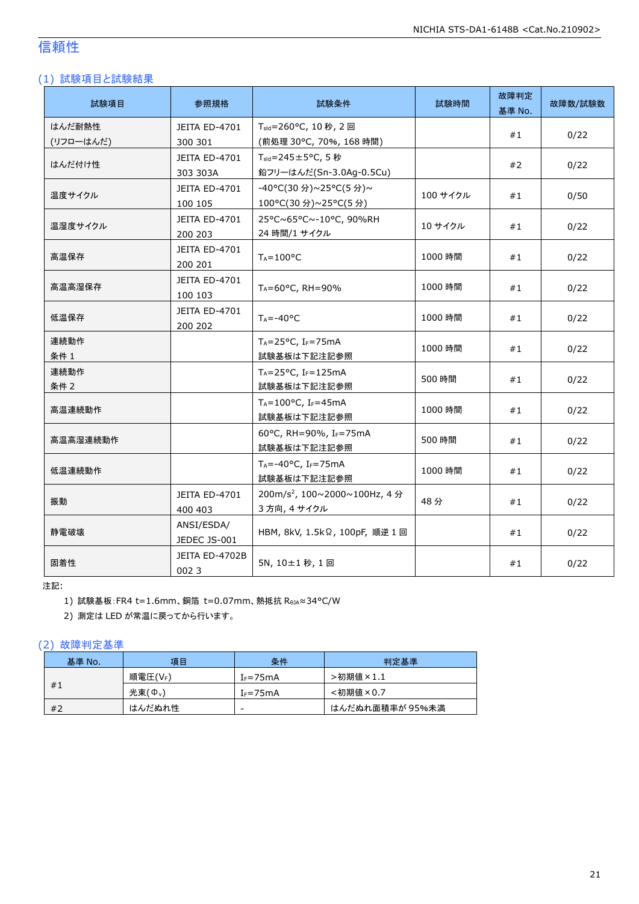# 信頼性

#### (1) 試験項目と試験結果

| 試験項目                | 参照規格                            | 試験条件                                                       | 試験時間     | 故障判定<br>基準 No. | 故障数/試験数 |
|---------------------|---------------------------------|------------------------------------------------------------|----------|----------------|---------|
| はんだ耐熱性<br>(リフローはんだ) | JEITA ED-4701<br>300 301        | T <sub>sld</sub> =260°C, 10秒, 2回<br>(前処理 30℃, 70%, 168 時間) |          | #1             | 0/22    |
| はんだ付け性              | JEITA ED-4701<br>303 303A       | T <sub>sld</sub> =245±5°C, 5秒<br>鉛フリーはんだ(Sn-3.0Ag-0.5Cu)   |          | #2             | 0/22    |
| 温度サイクル              | JEITA ED-4701<br>100 105        | -40°C(30分)~25°C(5分)~<br>100°C(30 分)~25°C(5 分)              | 100 サイクル | #1             | 0/50    |
| 温湿度サイクル             | JEITA ED-4701<br>200 203        | 25°C~65°C~-10°C, 90%RH<br>24 時間/1 サイクル                     | 10 サイクル  | #1             | 0/22    |
| 高温保存                | JEITA ED-4701<br>200 201        | $T_A = 100^{\circ}C$                                       | 1000 時間  | #1             | 0/22    |
| 高温高湿保存              | JEITA ED-4701<br>100 103        | TA=60°C, RH=90%                                            | 1000 時間  | #1             | 0/22    |
| 低温保存                | <b>JEITA ED-4701</b><br>200 202 | $T_A = -40$ °C                                             | 1000 時間  | #1             | 0/22    |
| 連続動作<br>条件 1        |                                 | $T_A = 25^{\circ}C$ , I <sub>F</sub> =75mA<br>試験基板は下記注記参照  | 1000 時間  | #1             | 0/22    |
| 連続動作<br>条件 2        |                                 | $T_A = 25^{\circ}C$ , IF=125mA<br>試験基板は下記注記参照              | 500 時間   | #1             | 0/22    |
| 高温連続動作              |                                 | TA=100°C, IF=45mA<br>試験基板は下記注記参照                           | 1000 時間  | #1             | 0/22    |
| 高温高湿連続動作            |                                 | 60°C, RH=90%, IF=75mA<br>試験基板は下記注記参照                       | 500 時間   | #1             | 0/22    |
| 低温連続動作              |                                 | $T_A = -40$ °C, I <sub>F</sub> =75mA<br>試験基板は下記注記参照        | 1000 時間  | #1             | 0/22    |
| 振動                  | <b>JEITA ED-4701</b><br>400 403 | 200m/s <sup>2</sup> , 100~2000~100Hz, 4分<br>3方向, 4 サイクル    | 48分      | #1             | 0/22    |
| 静雷破壊                | ANSI/ESDA/<br>JEDEC JS-001      | HBM, 8kV, 1.5kΩ, 100pF, 順逆 1 回                             |          | #1             | 0/22    |
| 固着性                 | JEITA ED-4702B<br>0023          | 5N, 10±1秒, 1回                                              |          | #1             | 0/22    |

注記:

1) 試験基板:FR4 t=1.6mm、銅箔 t=0.07mm、熱抵抗 RθJA≈34°C/W

2) 測定は LED が常温に戻ってから行います。

#### (2) 故障判定基準

| 基準 No. | 項目                 | 条件           | 判定基準            |
|--------|--------------------|--------------|-----------------|
| #1     | 順電圧(VF)            | $I_F = 75mA$ | >初期値×1.1        |
|        | 光束( $\Phi_{\nu}$ ) | $I_F = 75mA$ | <初期値×0.7        |
| #2     | はんだぬれ性             | -            | はんだぬれ面積率が 95%未満 |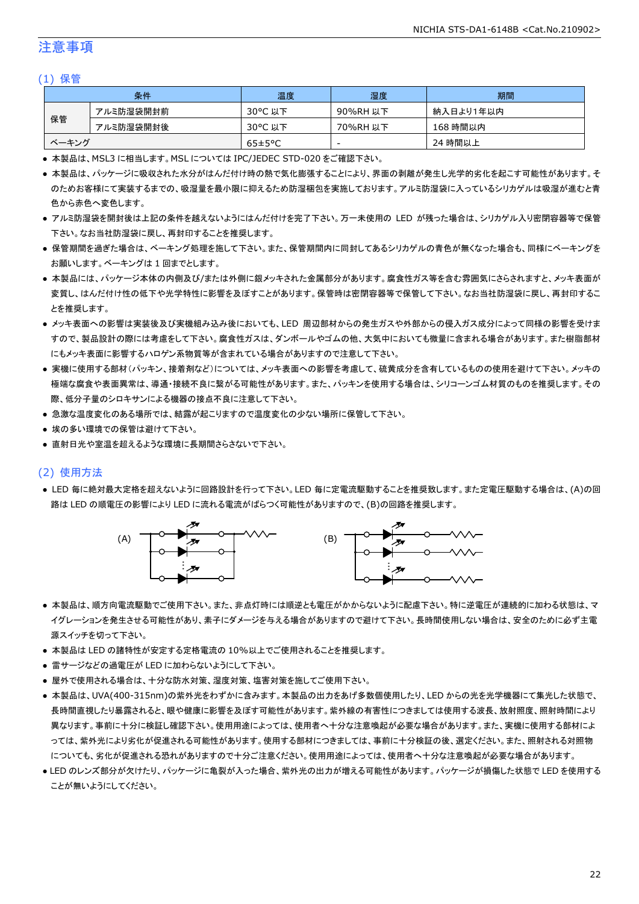#### 注意事項

#### (1) 保管

| 条件    |           | 温度                   | 湿度       | 期間        |
|-------|-----------|----------------------|----------|-----------|
| 保管    | アルミ防湿袋開封前 | 30°C 以下              | 90%RH 以下 | 納入日より1年以内 |
|       | アルミ防湿袋開封後 | 30°C 以下              | 70%RH 以下 | 168 時間以内  |
| ベーキング |           | $65 \pm 5^{\circ}$ C | -        | 24 時間以上   |

● 本製品は、MSL3 に相当します。MSL については IPC/JEDEC STD-020 をご確認下さい。

- 本製品は、パッケージに吸収された水分がはんだ付け時の熱で気化膨張することにより、界面の剥離が発生し光学的劣化を起こす可能性があります。そ のためお客様にて実装するまでの、吸湿量を最小限に抑えるため防湿梱包を実施しております。アルミ防湿袋に入っているシリカゲルは吸湿が進むと青 色から赤色へ変色します。
- アルミ防湿袋を開封後は上記の条件を越えないようにはんだ付けを完了下さい。万一未使用の LED が残った場合は、シリカゲル入り密閉容器等で保管 下さい。なお当社防湿袋に戻し、再封印することを推奨します。
- 保管期間を過ぎた場合は、ベーキング処理を施して下さい。また、保管期間内に同封してあるシリカゲルの青色が無くなった場合も、同様にベーキングを お願いします。ベーキングは 1 回までとします。
- 本製品には、パッケージ本体の内側及び/または外側に銀メッキされた金属部分があります。腐食性ガス等を含む雰囲気にさらされますと、メッキ表面が 変質し、はんだ付け性の低下や光学特性に影響を及ぼすことがあります。保管時は密閉容器等で保管して下さい。なお当社防湿袋に戻し、再封印するこ とを推奨します。
- メッキ表面への影響は実装後及び実機組み込み後においても、LED 周辺部材からの発生ガスや外部からの侵入ガス成分によって同様の影響を受けま すので、製品設計の際には考慮をして下さい。腐食性ガスは、ダンボールやゴムの他、大気中においても微量に含まれる場合があります。また樹脂部材 にもメッキ表面に影響するハロゲン系物質等が含まれている場合がありますので注意して下さい。
- 実機に使用する部材(パッキン、接着剤など)については、メッキ表面への影響を考慮して、硫黄成分を含有しているものの使用を避けて下さい。メッキの 極端な腐食や表面異常は、導通・接続不良に繋がる可能性があります。また、パッキンを使用する場合は、シリコーンゴム材質のものを推奨します。その 際、低分子量のシロキサンによる機器の接点不良に注意して下さい。
- 急激な温度変化のある場所では、結露が起こりますので温度変化の少ない場所に保管して下さい。
- 埃の多い環境での保管は避けて下さい。
- 直射日光や室温を超えるような環境に長期間さらさないで下さい。

#### (2) 使用方法

● LED 毎に絶対最大定格を超えないように回路設計を行って下さい。LED 毎に定電流駆動することを推奨致します。また定電圧駆動する場合は、(A)の回 路は LED の順電圧の影響により LED に流れる電流がばらつく可能性がありますので、(B)の回路を推奨します。



- 本製品は、順方向電流駆動でご使用下さい。また、非点灯時には順逆とも電圧がかからないように配慮下さい。特に逆電圧が連続的に加わる状態は、マ イグレーションを発生させる可能性があり、素子にダメージを与える場合がありますので避けて下さい。長時間使用しない場合は、安全のために必ず主電 源スイッチを切って下さい。
- 本製品は LED の諸特性が安定する定格電流の 10%以上でご使用されることを推奨します。
- 雷サージなどの過電圧が LED に加わらないようにして下さい。
- 屋外で使用される場合は、十分な防水対策、湿度対策、塩害対策を施してご使用下さい。
- 本製品は、UVA(400-315nm)の紫外光をわずかに含みます。本製品の出力をあげ多数個使用したり、LED からの光を光学機器にて集光した状態で、 長時間直視したり暴露されると、眼や健康に影響を及ぼす可能性があります。紫外線の有害性につきましては使用する波長、放射照度、照射時間により 異なります。事前に十分に検証し確認下さい。使用用途によっては、使用者へ十分な注意喚起が必要な場合があります。また、実機に使用する部材によ っては、紫外光により劣化が促進される可能性があります。使用する部材につきましては、事前に十分検証の後、選定ください。また、照射される対照物 についても、劣化が促進される恐れがありますので十分ご注意ください。使用用途によっては、使用者へ十分な注意喚起が必要な場合があります。
- LED のレンズ部分が欠けたり、パッケージに亀裂が入った場合、紫外光の出力が増える可能性があります。パッケージが損傷した状態で LED を使用する ことが無いようにしてください。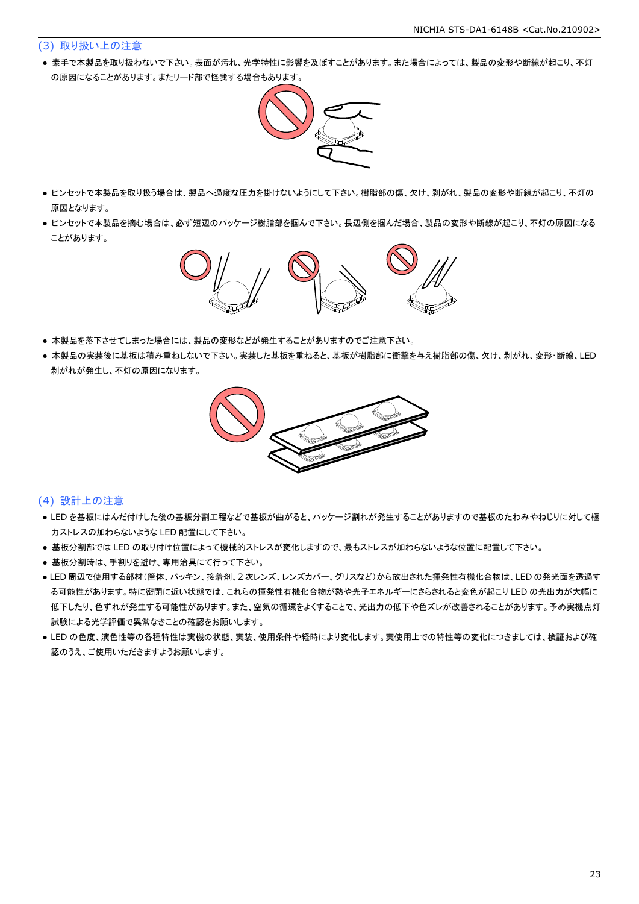#### (3) 取り扱い上の注意

● 素手で本製品を取り扱わないで下さい。表面が汚れ、光学特性に影響を及ぼすことがあります。また場合によっては、製品の変形や断線が起こり、不灯 の原因になることがあります。またリード部で怪我する場合もあります。



- ピンセットで本製品を取り扱う場合は、製品へ過度な圧力を掛けないようにして下さい。樹脂部の傷、欠け、剥がれ、製品の変形や断線が起こり、不灯の 原因となります。
- ピンセットで本製品を摘む場合は、必ず短辺のパッケージ樹脂部を掴んで下さい。長辺側を掴んだ場合、製品の変形や断線が起こり、不灯の原因になる ことがあります。



- 本製品を落下させてしまった場合には、製品の変形などが発生することがありますのでご注意下さい。
- 本製品の実装後に基板は積み重ねしないで下さい。実装した基板を重ねると、基板が樹脂部に衝撃を与え樹脂部の傷、欠け、剥がれ、変形・断線、LED 剥がれが発生し、不灯の原因になります。



#### (4) 設計上の注意

- LED を基板にはんだ付けした後の基板分割工程などで基板が曲がると、パッケージ割れが発生することがありますので基板のたわみやねじりに対して極 力ストレスの加わらないような LED 配置にして下さい。
- 基板分割部では LED の取り付け位置によって機械的ストレスが変化しますので、最もストレスが加わらないような位置に配置して下さい。
- 基板分割時は、手割りを避け、専用治具にて行って下さい。
- LED 周辺で使用する部材(筐体、パッキン、接着剤、2 次レンズ、レンズカバー、グリスなど)から放出された揮発性有機化合物は、LED の発光面を透過す る可能性があります。特に密閉に近い状態では、これらの揮発性有機化合物が熱や光子エネルギーにさらされると変色が起こり LED の光出力が大幅に 低下したり、色ずれが発生する可能性があります。また、空気の循環をよくすることで、光出力の低下や色ズレが改善されることがあります。予め実機点灯 試験による光学評価で異常なきことの確認をお願いします。
- LED の色度、演色性等の各種特性は実機の状態、実装、使用条件や経時により変化します。実使用上での特性等の変化につきましては、検証および確 認のうえ、ご使用いただきますようお願いします。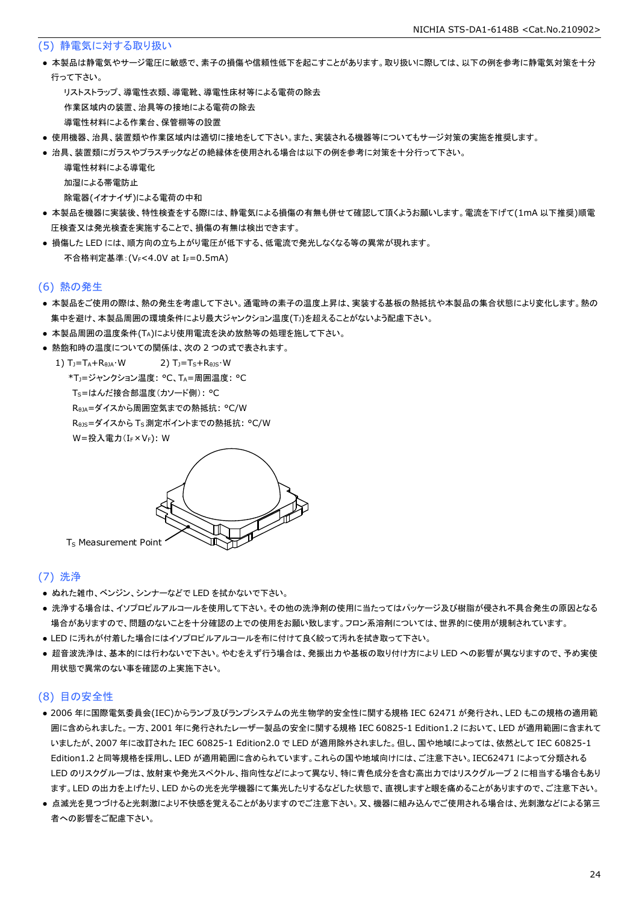(5) 静電気に対する取り扱い

- 本製品は静電気やサージ電圧に敏感で、素子の損傷や信頼性低下を起こすことがあります。取り扱いに際しては、以下の例を参考に静電気対策を十分 行って下さい。
	- リストストラップ、導電性衣類、導電靴、導電性床材等による電荷の除去 作業区域内の装置、治具等の接地による電荷の除去 導電性材料による作業台、保管棚等の設置
- 使用機器、治具、装置類や作業区域内は適切に接地をして下さい。また、実装される機器等についてもサージ対策の実施を推奨します。
- 治具、装置類にガラスやプラスチックなどの絶縁体を使用される場合は以下の例を参考に対策を十分行って下さい。

導電性材料による導電化

加湿による帯電防止

除電器(イオナイザ)による電荷の中和

- 本製品を機器に実装後、特性検査をする際には、静電気による損傷の有無も併せて確認して頂くようお願いします。電流を下げて(1mA 以下推奨)順電 圧検査又は発光検査を実施することで、損傷の有無は検出できます。
- 損傷した LED には、順方向の立ち上がり電圧が低下する、低電流で発光しなくなる等の異常が現れます。 不合格判定基準: (VF<4.0V at IF=0.5mA)

#### (6) 熱の発生

- 本製品をご使用の際は、熱の発生を考慮して下さい。通電時の素子の温度上昇は、実装する基板の熱抵抗や本製品の集合状態により変化します。熱の 集中を避け、本製品周囲の環境条件により最大ジャンクション温度(TJ)を超えることがないよう配慮下さい。
- 本製品周囲の温度条件(TA)により使用電流を決め放熱等の処理を施して下さい。
- 熱飽和時の温度についての関係は、次の2つの式で表されます。

1)  $T_1 = T_A + R_{\theta I} \cdot W$  2)  $T_1 = T_S + R_{\theta I} \cdot W$  \*TJ=ジャンクション温度: °C、TA=周囲温度: °C TS=はんだ接合部温度(カソード側): °C RθJA=ダイスから周囲空気までの熱抵抗: °C/W Rejs=ダイスから Ts 測定ポイントまでの熱抵抗: °C/W W=投入電力(I<sub>F</sub>×V<sub>F</sub>): W



#### (7) 洗浄

- ぬれた雑巾、ベンジン、シンナーなどで LED を拭かないで下さい。
- 洗浄する場合は、イソプロピルアルコールを使用して下さい。その他の洗浄剤の使用に当たってはパッケージ及び樹脂が侵され不具合発生の原因となる 場合がありますので、問題のないことを十分確認の上での使用をお願い致します。フロン系溶剤については、世界的に使用が規制されています。
- LED に汚れが付着した場合にはイソプロピルアルコールを布に付けて良く絞って汚れを拭き取って下さい。
- 超音波洗浄は、基本的には行わないで下さい。やむをえず行う場合は、発振出力や基板の取り付け方により LED への影響が異なりますので、予め実使 用状態で異常のない事を確認の上実施下さい。

#### (8) 目の安全性

- 2006 年に国際電気委員会(IEC)からランプ及びランプシステムの光生物学的安全性に関する規格 IEC 62471 が発行され、LED もこの規格の適用範 囲に含められました。一方、2001 年に発行されたレーザー製品の安全に関する規格 IEC 60825-1 Edition1.2 において、LED が適用範囲に含まれて いましたが、2007 年に改訂された IEC 60825-1 Edition2.0 で LED が適用除外されました。但し、国や地域によっては、依然として IEC 60825-1 Edition1.2 と同等規格を採用し、LED が適用範囲に含められています。これらの国や地域向けには、ご注意下さい。IEC62471 によって分類される LED のリスクグループは、放射束や発光スペクトル、指向性などによって異なり、特に青色成分を含む高出力ではリスクグループ 2 に相当する場合もあり ます。LED の出力を上げたり、LED からの光を光学機器にて集光したりするなどした状態で、直視しますと眼を痛めることがありますので、ご注意下さい。
- 点滅光を見つづけると光刺激により不快感を覚えることがありますのでご注意下さい。又、機器に組み込んでご使用される場合は、光刺激などによる第三 者への影響をご配慮下さい。